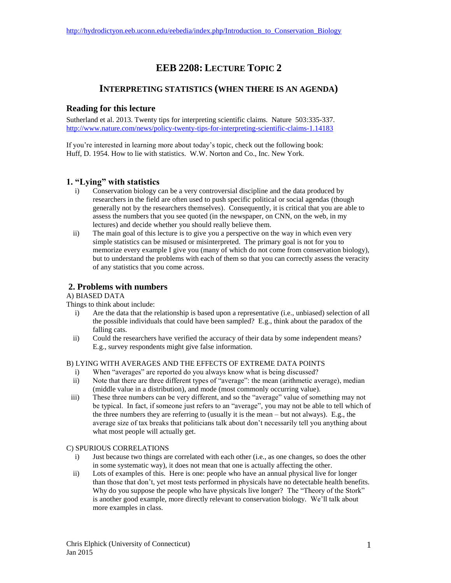# **EEB 2208: LECTURE TOPIC 2**

# **INTERPRETING STATISTICS (WHEN THERE IS AN AGENDA)**

## **Reading for this lecture**

Sutherland et al. 2013. Twenty tips for interpreting scientific claims. Nature 503:335-337. <http://www.nature.com/news/policy-twenty-tips-for-interpreting-scientific-claims-1.14183>

If you're interested in learning more about today's topic, check out the following book: Huff, D. 1954. How to lie with statistics. W.W. Norton and Co., Inc. New York.

## **1. "Lying" with statistics**

- i) Conservation biology can be a very controversial discipline and the data produced by researchers in the field are often used to push specific political or social agendas (though generally not by the researchers themselves). Consequently, it is critical that you are able to assess the numbers that you see quoted (in the newspaper, on CNN, on the web, in my lectures) and decide whether you should really believe them.
- ii) The main goal of this lecture is to give you a perspective on the way in which even very simple statistics can be misused or misinterpreted. The primary goal is not for you to memorize every example I give you (many of which do not come from conservation biology), but to understand the problems with each of them so that you can correctly assess the veracity of any statistics that you come across.

# **2. Problems with numbers**

A) BIASED DATA

Things to think about include:

- i) Are the data that the relationship is based upon a representative (i.e., unbiased) selection of all the possible individuals that could have been sampled? E.g., think about the paradox of the falling cats.
- ii) Could the researchers have verified the accuracy of their data by some independent means? E.g., survey respondents might give false information.

#### B) LYING WITH AVERAGES AND THE EFFECTS OF EXTREME DATA POINTS

- i) When "averages" are reported do you always know what is being discussed?
- ii) Note that there are three different types of "average": the mean (arithmetic average), median (middle value in a distribution), and mode (most commonly occurring value).
- iii) These three numbers can be very different, and so the "average" value of something may not be typical. In fact, if someone just refers to an "average", you may not be able to tell which of the three numbers they are referring to (usually it is the mean – but not always). E.g., the average size of tax breaks that politicians talk about don't necessarily tell you anything about what most people will actually get.

#### C) SPURIOUS CORRELATIONS

- i) Just because two things are correlated with each other (i.e., as one changes, so does the other in some systematic way), it does not mean that one is actually affecting the other.
- ii) Lots of examples of this. Here is one: people who have an annual physical live for longer than those that don't, yet most tests performed in physicals have no detectable health benefits. Why do you suppose the people who have physicals live longer? The "Theory of the Stork" is another good example, more directly relevant to conservation biology. We'll talk about more examples in class.